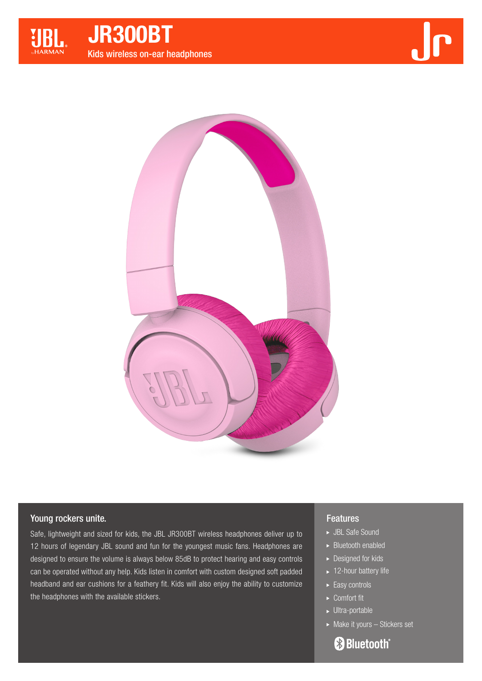U





## Young rockers unite.

Safe, lightweight and sized for kids, the JBL JR300BT wireless headphones deliver up to 12 hours of legendary JBL sound and fun for the youngest music fans. Headphones are designed to ensure the volume is always below 85dB to protect hearing and easy controls can be operated without any help. Kids listen in comfort with custom designed soft padded headband and ear cushions for a feathery fit. Kids will also enjoy the ability to customize the headphones with the available stickers.

## Features

- JBL Safe Sound
- Bluetooth enabled
- ▶ Designed for kids
- $\blacktriangleright$  12-hour battery life
- $\blacktriangleright$  Easy controls
- ► Comfort fit
- ► Ultra-portable
- $\blacktriangleright$  Make it yours Stickers set

**Bluetooth**®